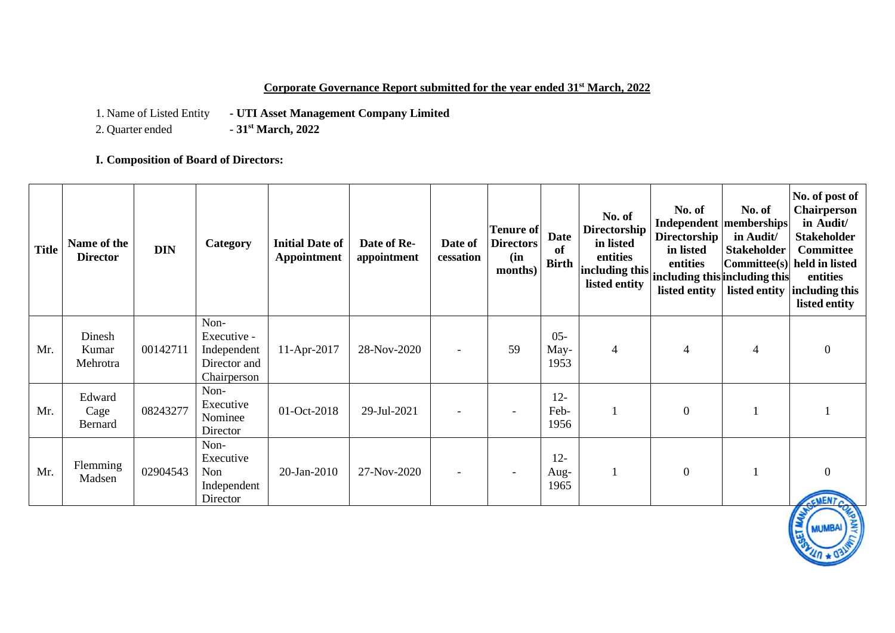### **Corporate Governance Report submitted for the year ended 31st March, 2022**

1. Name of Listed Entity **- UTI Asset Management Company Limited**<br>2. Quarter ended **- 31<sup>st</sup> March, 2022** 

2. Quarter ended **- 31st March, 2022**

**I. Composition of Board of Directors:**

| <b>Title</b> | Name of the<br><b>Director</b> | <b>DIN</b> | Category                                                          | <b>Initial Date of</b><br><b>Appointment</b> | Date of Re-<br>appointment | Date of<br>cessation     | Tenure of<br><b>Directors</b><br>(in<br>months) | <b>Date</b><br>of<br><b>Birth</b> | No. of<br>Directorship<br>in listed<br>entities<br>including this<br>listed entity | No. of<br>Directorship<br>in listed<br>entities<br>including this including this<br>listed entity | No. of<br>Independent memberships<br>in Audit/<br><b>Stakeholder</b> | No. of post of<br><b>Chairperson</b><br>in Audit/<br><b>Stakeholder</b><br><b>Committee</b><br>$\lfloor$ Committee(s) held in listed<br>entities<br>listed entity including this<br>listed entity |
|--------------|--------------------------------|------------|-------------------------------------------------------------------|----------------------------------------------|----------------------------|--------------------------|-------------------------------------------------|-----------------------------------|------------------------------------------------------------------------------------|---------------------------------------------------------------------------------------------------|----------------------------------------------------------------------|---------------------------------------------------------------------------------------------------------------------------------------------------------------------------------------------------|
| Mr.          | Dinesh<br>Kumar<br>Mehrotra    | 00142711   | Non-<br>Executive -<br>Independent<br>Director and<br>Chairperson | $11-Apr-2017$                                | 28-Nov-2020                | $\overline{\phantom{a}}$ | 59                                              | $05 -$<br>May-<br>1953            | 4                                                                                  | $\overline{4}$                                                                                    | $\overline{4}$                                                       | $\boldsymbol{0}$                                                                                                                                                                                  |
| Mr.          | Edward<br>Cage<br>Bernard      | 08243277   | Non-<br>Executive<br>Nominee<br>Director                          | 01-Oct-2018                                  | 29-Jul-2021                |                          | $\overline{\phantom{a}}$                        | $12 -$<br>Feb-<br>1956            |                                                                                    | $\mathbf{0}$                                                                                      |                                                                      |                                                                                                                                                                                                   |
| Mr.          | Flemming<br>Madsen             | 02904543   | Non-<br>Executive<br>Non<br>Independent<br>Director               | 20-Jan-2010                                  | 27-Nov-2020                | $\overline{\phantom{a}}$ | $\overline{\phantom{a}}$                        | $12 -$<br>Aug-<br>1965            |                                                                                    | $\overline{0}$                                                                                    |                                                                      | $\overline{0}$<br>CMENT                                                                                                                                                                           |

**MUMBAI**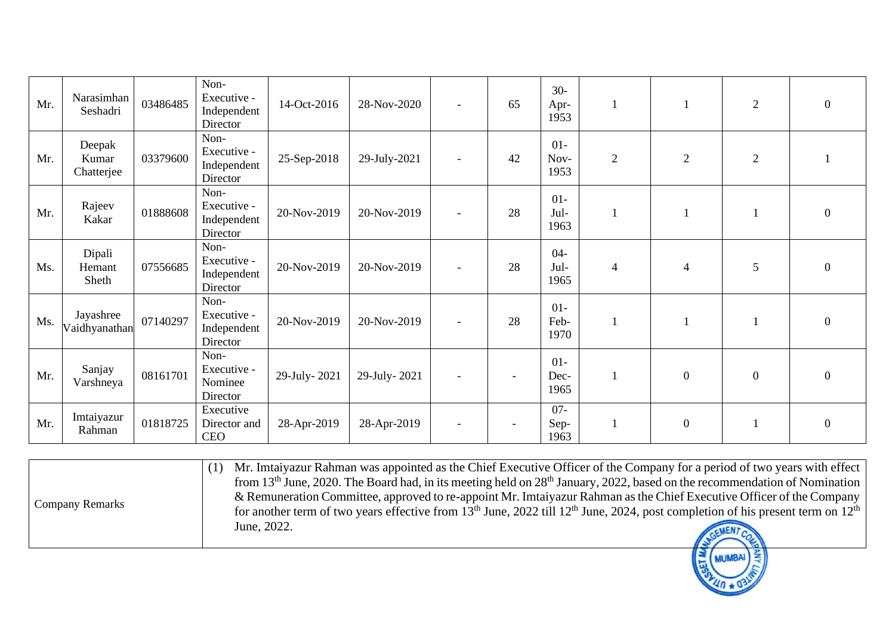| Mr. | Narasimhan<br>Seshadri        | 03486485 | Non-<br>Executive -<br>Independent<br>Director | 14-Oct-2016  | 28-Nov-2020  | $\overline{\phantom{a}}$ | 65 | $30-$<br>Apr-<br>1953  |                |                  | $\overline{2}$ | $\boldsymbol{0}$ |
|-----|-------------------------------|----------|------------------------------------------------|--------------|--------------|--------------------------|----|------------------------|----------------|------------------|----------------|------------------|
| Mr. | Deepak<br>Kumar<br>Chatterjee | 03379600 | Non-<br>Executive -<br>Independent<br>Director | 25-Sep-2018  | 29-July-2021 |                          | 42 | $01-$<br>Nov-<br>1953  | $\overline{2}$ | $\overline{2}$   | $\overline{2}$ |                  |
| Mr. | Rajeev<br>Kakar               | 01888608 | Non-<br>Executive -<br>Independent<br>Director | 20-Nov-2019  | 20-Nov-2019  | $\overline{\phantom{a}}$ | 28 | $01-$<br>Jul-<br>1963  |                |                  |                | $\boldsymbol{0}$ |
| Ms. | Dipali<br>Hemant<br>Sheth     | 07556685 | Non-<br>Executive -<br>Independent<br>Director | 20-Nov-2019  | 20-Nov-2019  |                          | 28 | $04 -$<br>Jul-<br>1965 | 4              | $\overline{4}$   | 5              | $\overline{0}$   |
| Ms. | Jayashree<br>Vaidhyanathan    | 07140297 | Non-<br>Executive -<br>Independent<br>Director | 20-Nov-2019  | 20-Nov-2019  | $\overline{\phantom{a}}$ | 28 | $01 -$<br>Feb-<br>1970 |                |                  |                | $\overline{0}$   |
| Mr. | Sanjay<br>Varshneya           | 08161701 | Non-<br>Executive -<br>Nominee<br>Director     | 29-July-2021 | 29-July-2021 |                          |    | $01 -$<br>Dec-<br>1965 |                | $\overline{0}$   | $\theta$       | $\Omega$         |
| Mr. | Imtaiyazur<br>Rahman          | 01818725 | Executive<br>Director and<br><b>CEO</b>        | 28-Apr-2019  | 28-Apr-2019  |                          |    | $07 -$<br>Sep-<br>1963 |                | $\boldsymbol{0}$ |                | $\overline{0}$   |

|                        | Mr. Imtaiyazur Rahman was appointed as the Chief Executive Officer of the Company for a period of two years with effect<br>from 13 <sup>th</sup> June, 2020. The Board had, in its meeting held on $28th$ January, 2022, based on the recommendation of Nomination                         |  |
|------------------------|--------------------------------------------------------------------------------------------------------------------------------------------------------------------------------------------------------------------------------------------------------------------------------------------|--|
| <b>Company Remarks</b> | & Remuneration Committee, approved to re-appoint Mr. Imtaiyazur Rahman as the Chief Executive Officer of the Company<br>for another term of two years effective from 13 <sup>th</sup> June, 2022 till 12 <sup>th</sup> June, 2024, post completion of his present term on 12 <sup>th</sup> |  |
|                        | June, 2022.                                                                                                                                                                                                                                                                                |  |
|                        |                                                                                                                                                                                                                                                                                            |  |

 $4n * 0$ ?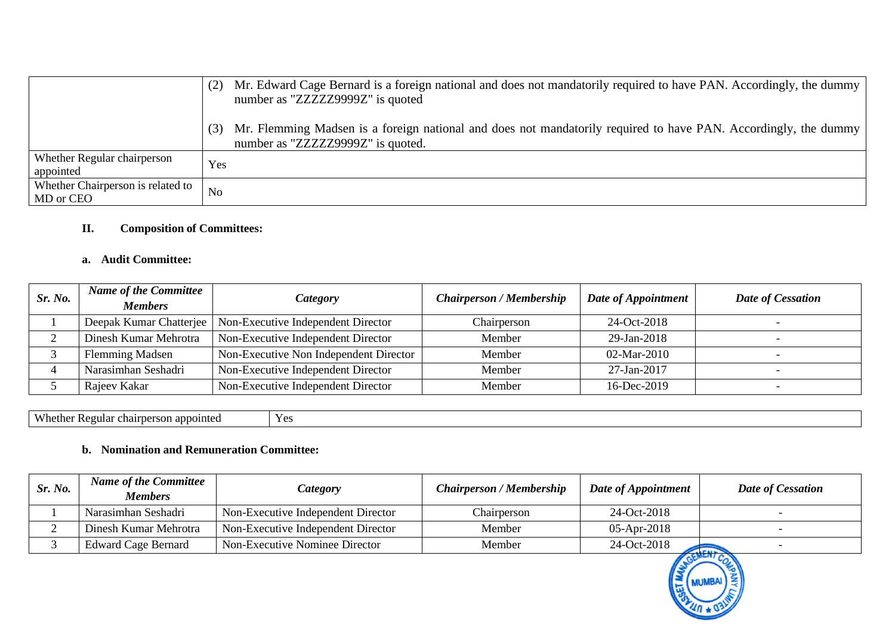|                                                | Mr. Edward Cage Bernard is a foreign national and does not mandatorily required to have PAN. Accordingly, the dummy<br>number as "ZZZZZ299992" is quoted |
|------------------------------------------------|----------------------------------------------------------------------------------------------------------------------------------------------------------|
|                                                | Mr. Flemming Madsen is a foreign national and does not mandatorily required to have PAN. Accordingly, the dummy<br>number as "ZZZZZ299992" is quoted.    |
| Whether Regular chairperson<br>appointed       | Yes                                                                                                                                                      |
| Whether Chairperson is related to<br>MD or CEO | N <sub>o</sub>                                                                                                                                           |

## **II. Composition of Committees:**

### **a. Audit Committee:**

| Sr. No. | <b>Name of the Committee</b><br><b>Members</b> | Category                                                     | <b>Chairperson / Membership</b> | Date of Appointment | Date of Cessation |
|---------|------------------------------------------------|--------------------------------------------------------------|---------------------------------|---------------------|-------------------|
|         |                                                | Deepak Kumar Chatterjee   Non-Executive Independent Director | Chairperson                     | 24-Oct-2018         |                   |
|         | Dinesh Kumar Mehrotra                          | Non-Executive Independent Director                           | Member                          | 29-Jan-2018         |                   |
|         | <b>Flemming Madsen</b>                         | Non-Executive Non Independent Director                       | Member                          | $02-Mar-2010$       |                   |
|         | Narasimhan Seshadri                            | Non-Executive Independent Director                           | Member                          | 27-Jan-2017         |                   |
|         | Rajeev Kakar                                   | Non-Executive Independent Director                           | Member                          | 16-Dec-2019         |                   |

Whether Regular chairperson appointed Yes

### **b. Nomination and Remuneration Committee:**

| Sr. No. | <b>Name of the Committee</b><br><b>Members</b> | Category                           | <b>Chairperson / Membership</b> | Date of Appointment | <b>Date of Cessation</b> |
|---------|------------------------------------------------|------------------------------------|---------------------------------|---------------------|--------------------------|
|         | Narasimhan Seshadri                            | Non-Executive Independent Director | Chairperson                     | 24-Oct-2018         |                          |
|         | Dinesh Kumar Mehrotra                          | Non-Executive Independent Director | Member                          | $05-Apr-2018$       |                          |
|         | <b>Edward Cage Bernard</b>                     | Non-Executive Nominee Director     | Member                          | 24-Oct-2018         | <b>CONTRACTOR</b>        |

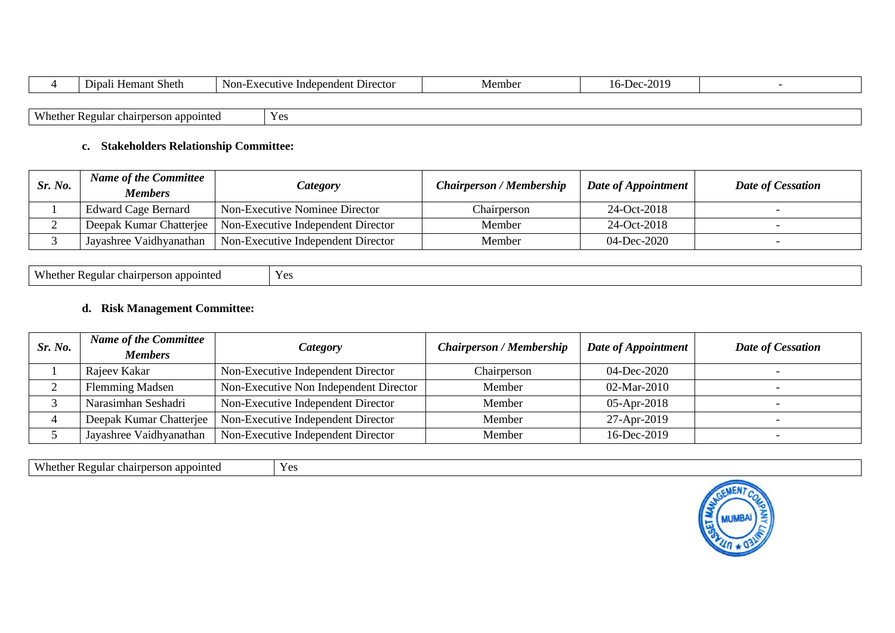|                              | $\overline{\phantom{a}}$<br><b>Hemant Sheth</b><br>1 * T<br>Dipal | Non-Executive Independent Director | Member | 16-Dec-2019 |  |
|------------------------------|-------------------------------------------------------------------|------------------------------------|--------|-------------|--|
|                              |                                                                   |                                    |        |             |  |
| Wh<br>$\sqrt{\text{hether}}$ | r Regular chairperson appointed                                   | Yes                                |        |             |  |

### **c. Stakeholders Relationship Committee:**

| Sr. No. | <b>Name of the Committee</b><br><b>Members</b> | Category                                                     | <b>Chairperson / Membership</b> | Date of Appointment | <b>Date of Cessation</b> |
|---------|------------------------------------------------|--------------------------------------------------------------|---------------------------------|---------------------|--------------------------|
|         | <b>Edward Cage Bernard</b>                     | Non-Executive Nominee Director                               | Chairperson                     | 24-Oct-2018         |                          |
|         |                                                | Deepak Kumar Chatterjee   Non-Executive Independent Director | Member                          | 24-Oct-2018         |                          |
|         | Jayashree Vaidhyanathan                        | Non-Executive Independent Director                           | Member                          | 04-Dec-2020         |                          |

| $X \rightarrow Y$<br>v hether<br>appointed<br>.egular | Yes |
|-------------------------------------------------------|-----|
|-------------------------------------------------------|-----|

## **d. Risk Management Committee:**

| Sr. No. | <b>Name of the Committee</b><br><b>Members</b> | <i>Category</i>                        | <b>Chairperson / Membership</b> | Date of Appointment | Date of Cessation |
|---------|------------------------------------------------|----------------------------------------|---------------------------------|---------------------|-------------------|
|         | Rajeev Kakar                                   | Non-Executive Independent Director     | Chairperson                     | 04-Dec-2020         |                   |
|         | <b>Flemming Madsen</b>                         | Non-Executive Non Independent Director | Member                          | 02-Mar-2010         |                   |
|         | Narasimhan Seshadri                            | Non-Executive Independent Director     | Member                          | $05-Apr-2018$       |                   |
|         | Deepak Kumar Chatterjee                        | Non-Executive Independent Director     | Member                          | 27-Apr-2019         |                   |
|         | Jayashree Vaidhyanathan                        | Non-Executive Independent Director     | Member                          | 16-Dec-2019         |                   |

Whether Regular chairperson appointed Yes

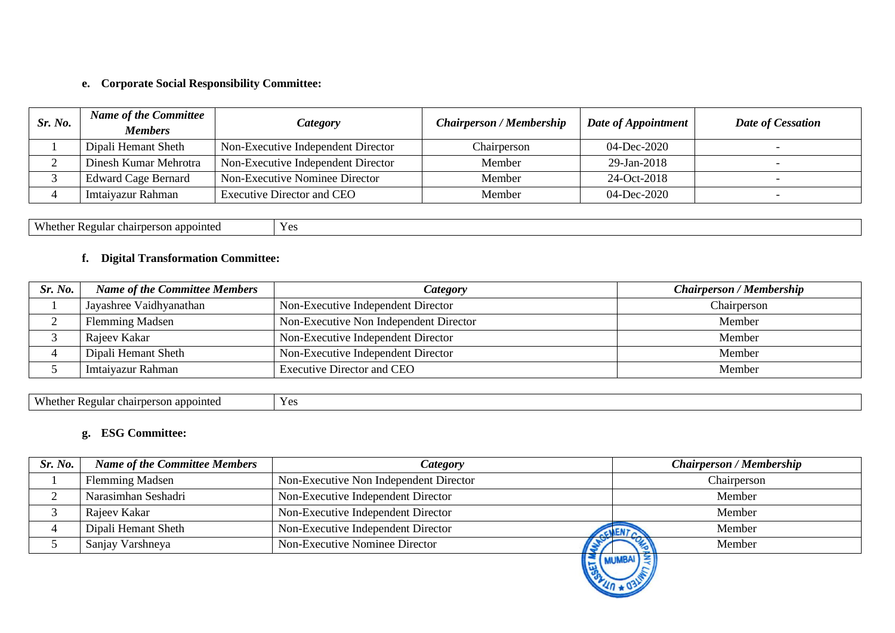## **e. Corporate Social Responsibility Committee:**

| Sr. No. | <b>Name of the Committee</b><br><b>Members</b> | Category                           | <b>Chairperson / Membership</b> | Date of Appointment | Date of Cessation        |
|---------|------------------------------------------------|------------------------------------|---------------------------------|---------------------|--------------------------|
|         | Dipali Hemant Sheth                            | Non-Executive Independent Director | Chairperson                     | 04-Dec-2020         |                          |
|         | Dinesh Kumar Mehrotra                          | Non-Executive Independent Director | Member                          | 29-Jan-2018         |                          |
|         | <b>Edward Cage Bernard</b>                     | Non-Executive Nominee Director     | Member                          | 24-Oct-2018         |                          |
|         | Imtaiyazur Rahman                              | Executive Director and CEO         | Member                          | 04-Dec-2020         | $\overline{\phantom{0}}$ |

Whether Regular chairperson appointed Yes

## **f. Digital Transformation Committee:**

| Sr. No. | <b>Name of the Committee Members</b> | <i>Category</i>                        | <b>Chairperson / Membership</b> |
|---------|--------------------------------------|----------------------------------------|---------------------------------|
|         | Jayashree Vaidhyanathan              | Non-Executive Independent Director     | Chairperson                     |
|         | <b>Flemming Madsen</b>               | Non-Executive Non Independent Director | Member                          |
|         | Rajeev Kakar                         | Non-Executive Independent Director     | Member                          |
|         | Dipali Hemant Sheth                  | Non-Executive Independent Director     | Member                          |
|         | Imtaiyazur Rahman                    | Executive Director and CEO             | Member                          |

Whether Regular chairperson appointed Yes

## **g. ESG Committee:**

| Sr. No. | <b>Name of the Committee Members</b> | <i>Category</i>                        | <b>Chairperson / Membership</b> |
|---------|--------------------------------------|----------------------------------------|---------------------------------|
|         | <b>Flemming Madsen</b>               | Non-Executive Non Independent Director | Chairperson                     |
|         | Narasimhan Seshadri                  | Non-Executive Independent Director     | Member                          |
|         | Rajeev Kakar                         | Non-Executive Independent Director     | Member                          |
|         | Dipali Hemant Sheth                  | Non-Executive Independent Director     | Member<br>CHENTA                |
|         | Sanjay Varshneya                     | Non-Executive Nominee Director         | Member                          |
|         |                                      | MUMBAI                                 |                                 |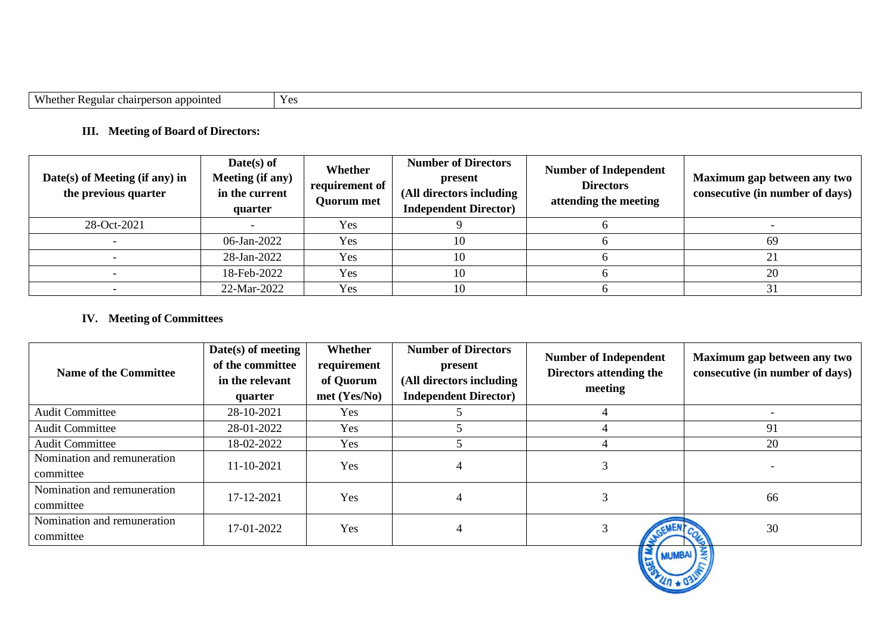| Wheth<br>∩n≁<br>naraan<br>oointed<br>cnair<br>11121<br>73. ZE . | $V \alpha$<br>. UC |
|-----------------------------------------------------------------|--------------------|

# **III. Meeting of Board of Directors:**

| $Date(s)$ of Meeting (if any) in<br>the previous quarter | $Date(s)$ of<br>Meeting (if any)<br>in the current<br>quarter | Whether<br>requirement of<br>Quorum met | <b>Number of Directors</b><br>present<br>(All directors including<br><b>Independent Director</b> ) | <b>Number of Independent</b><br><b>Directors</b><br>attending the meeting | Maximum gap between any two<br>consecutive (in number of days) |
|----------------------------------------------------------|---------------------------------------------------------------|-----------------------------------------|----------------------------------------------------------------------------------------------------|---------------------------------------------------------------------------|----------------------------------------------------------------|
| 28-Oct-2021                                              |                                                               | Yes                                     |                                                                                                    |                                                                           |                                                                |
|                                                          | 06-Jan-2022                                                   | Yes                                     | 10                                                                                                 |                                                                           | 69                                                             |
|                                                          | 28-Jan-2022                                                   | Yes                                     | 10                                                                                                 |                                                                           |                                                                |
|                                                          | 18-Feb-2022                                                   | Yes                                     | 10                                                                                                 |                                                                           | 20                                                             |
|                                                          | 22-Mar-2022                                                   | Yes                                     | 10                                                                                                 |                                                                           |                                                                |

## **IV. Meeting of Committees**

| <b>Name of the Committee</b>             | $Date(s)$ of meeting<br>of the committee<br>in the relevant<br>quarter | Whether<br>requirement<br>of Quorum<br>$met$ (Yes/No) | <b>Number of Directors</b><br>present<br>(All directors including<br><b>Independent Director</b> ) | <b>Number of Independent</b><br>Directors attending the<br>meeting | Maximum gap between any two<br>consecutive (in number of days) |
|------------------------------------------|------------------------------------------------------------------------|-------------------------------------------------------|----------------------------------------------------------------------------------------------------|--------------------------------------------------------------------|----------------------------------------------------------------|
| <b>Audit Committee</b>                   | 28-10-2021                                                             | Yes                                                   |                                                                                                    |                                                                    |                                                                |
| <b>Audit Committee</b>                   | 28-01-2022                                                             | Yes                                                   |                                                                                                    |                                                                    | 91                                                             |
| <b>Audit Committee</b>                   | 18-02-2022                                                             | Yes                                                   |                                                                                                    |                                                                    | 20                                                             |
| Nomination and remuneration<br>committee | 11-10-2021                                                             | Yes                                                   |                                                                                                    |                                                                    |                                                                |
| Nomination and remuneration<br>committee | 17-12-2021                                                             | Yes                                                   |                                                                                                    |                                                                    | 66                                                             |
| Nomination and remuneration<br>committee | 17-01-2022                                                             | Yes                                                   | 4                                                                                                  |                                                                    | 30                                                             |
|                                          |                                                                        |                                                       |                                                                                                    | $\leq$ (MUMBAI) $\leq$                                             |                                                                |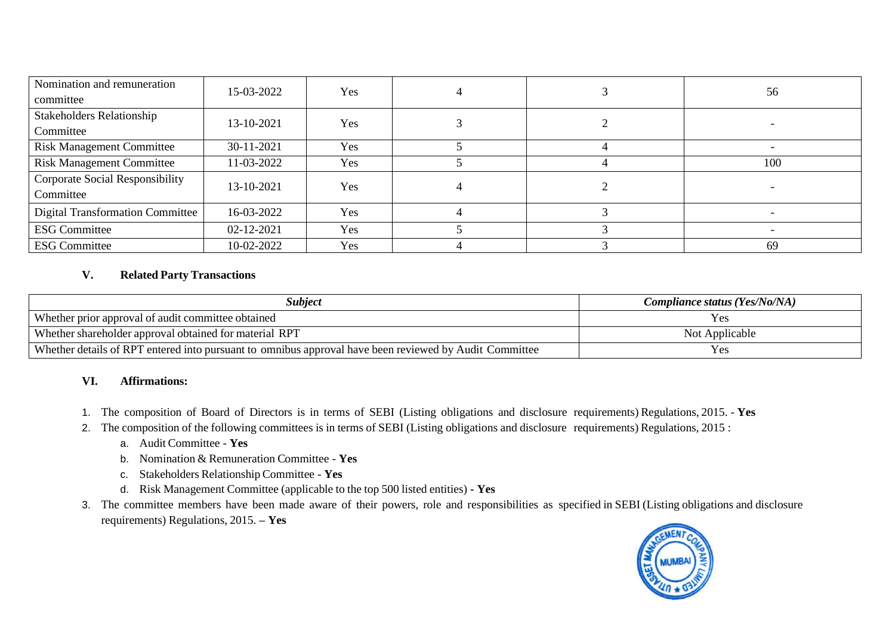| Nomination and remuneration             | 15-03-2022 | Yes |  |  | 56  |  |
|-----------------------------------------|------------|-----|--|--|-----|--|
| committee                               |            |     |  |  |     |  |
| <b>Stakeholders Relationship</b>        | 13-10-2021 | Yes |  |  |     |  |
| Committee                               |            |     |  |  |     |  |
| <b>Risk Management Committee</b>        | 30-11-2021 | Yes |  |  |     |  |
| <b>Risk Management Committee</b>        | 11-03-2022 | Yes |  |  | 100 |  |
| <b>Corporate Social Responsibility</b>  | 13-10-2021 | Yes |  |  |     |  |
| Committee                               |            |     |  |  |     |  |
| <b>Digital Transformation Committee</b> | 16-03-2022 | Yes |  |  |     |  |
| <b>ESG Committee</b>                    | 02-12-2021 | Yes |  |  |     |  |
| <b>ESG Committee</b>                    | 10-02-2022 | Yes |  |  | 69  |  |

### **V. Related Party Transactions**

| Subject                                                                                                | Compliance status (Yes/No/NA) |
|--------------------------------------------------------------------------------------------------------|-------------------------------|
| Whether prior approval of audit committee obtained                                                     | y es                          |
| Whether shareholder approval obtained for material RPT                                                 | Not Applicable                |
| Whether details of RPT entered into pursuant to omnibus approval have been reviewed by Audit Committee | Y es                          |

#### **VI. Affirmations:**

- 1. The composition of Board of Directors is in terms of SEBI (Listing obligations and disclosure requirements) Regulations, 2015. **Yes**
- 2. The composition of the following committees is in terms of SEBI (Listing obligations and disclosure requirements) Regulations, 2015 :
	- a. Audit Committee **Yes**
	- b. Nomination & Remuneration Committee **Yes**
	- c. Stakeholders RelationshipCommittee **Yes**
	- d. Risk Management Committee (applicable to the top 500 listed entities) **- Yes**
- 3. The committee members have been made aware of their powers, role and responsibilities as specified in SEBI (Listing obligations and disclosure requirements) Regulations, 2015. **– Yes**

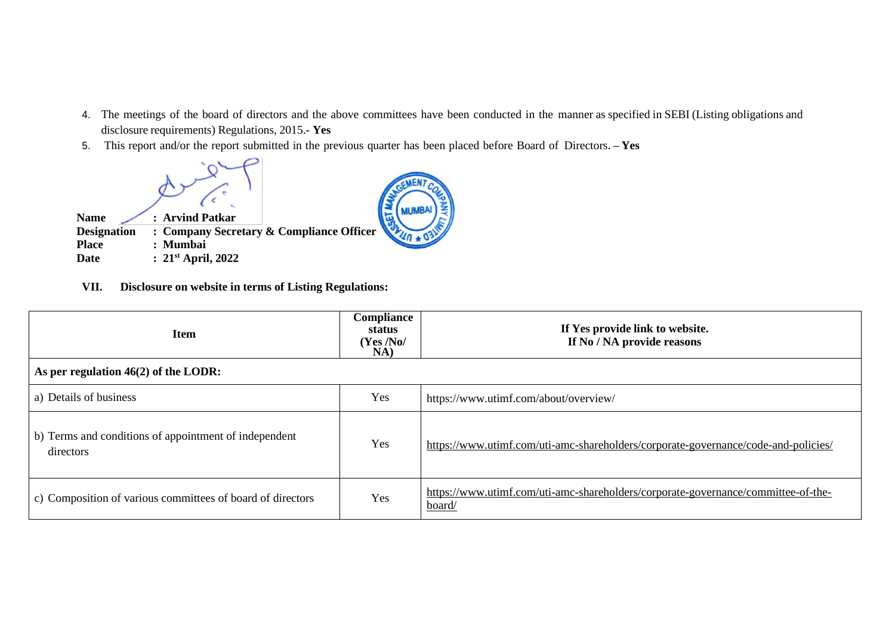- 4. The meetings of the board of directors and the above committees have been conducted in the manner as specified in SEBI (Listing obligations and disclosure requirements) Regulations, 2015.**- Yes**
- 5. This report and/or the report submitted in the previous quarter has been placed before Board of Directors. **– Yes**



**VII. Disclosure on website in terms of Listing Regulations:**

| <b>Item</b>                                                        | Compliance<br>status<br>(Yes/No/<br>NA) | If Yes provide link to website.<br>If No / NA provide reasons                               |
|--------------------------------------------------------------------|-----------------------------------------|---------------------------------------------------------------------------------------------|
| As per regulation $46(2)$ of the LODR:                             |                                         |                                                                                             |
| a) Details of business                                             | Yes                                     | https://www.utimf.com/about/overview/                                                       |
| b) Terms and conditions of appointment of independent<br>directors | Yes                                     | https://www.utimf.com/uti-amc-shareholders/corporate-governance/code-and-policies/          |
| c) Composition of various committees of board of directors         | Yes                                     | https://www.utimf.com/uti-amc-shareholders/corporate-governance/committee-of-the-<br>board/ |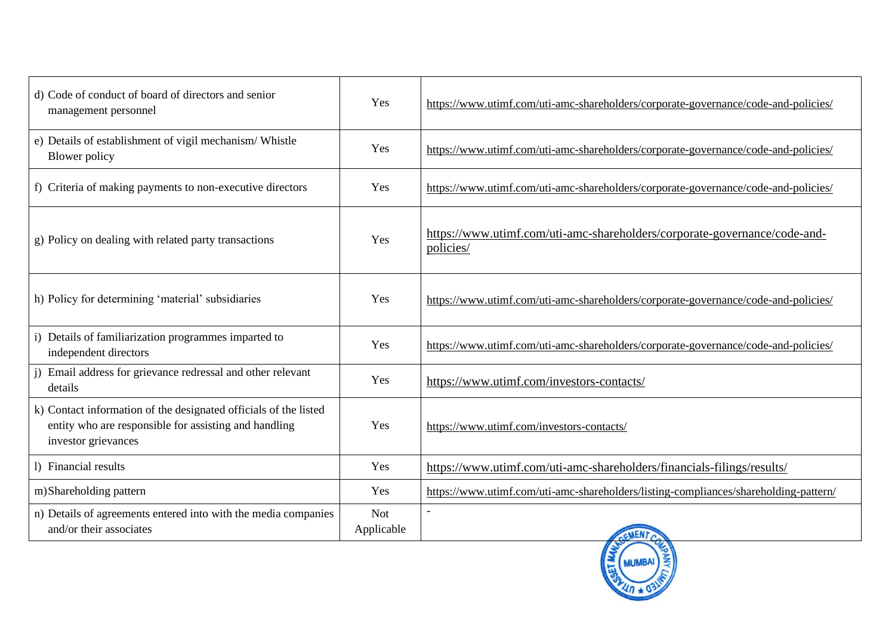| d) Code of conduct of board of directors and senior<br>management personnel                                                                      | Yes                      | https://www.utimf.com/uti-amc-shareholders/corporate-governance/code-and-policies/     |
|--------------------------------------------------------------------------------------------------------------------------------------------------|--------------------------|----------------------------------------------------------------------------------------|
| e) Details of establishment of vigil mechanism/ Whistle<br>Blower policy                                                                         | Yes                      | https://www.utimf.com/uti-amc-shareholders/corporate-governance/code-and-policies/     |
| f) Criteria of making payments to non-executive directors                                                                                        | Yes                      | https://www.utimf.com/uti-amc-shareholders/corporate-governance/code-and-policies/     |
| g) Policy on dealing with related party transactions                                                                                             | Yes                      | https://www.utimf.com/uti-amc-shareholders/corporate-governance/code-and-<br>policies/ |
| h) Policy for determining 'material' subsidiaries                                                                                                | Yes                      | https://www.utimf.com/uti-amc-shareholders/corporate-governance/code-and-policies/     |
| i) Details of familiarization programmes imparted to<br>independent directors                                                                    | Yes                      | https://www.utimf.com/uti-amc-shareholders/corporate-governance/code-and-policies/     |
| Email address for grievance redressal and other relevant<br>details                                                                              | Yes                      | https://www.utimf.com/investors-contacts/                                              |
| k) Contact information of the designated officials of the listed<br>entity who are responsible for assisting and handling<br>investor grievances | Yes                      | https://www.utimf.com/investors-contacts/                                              |
| 1) Financial results                                                                                                                             | Yes                      | https://www.utimf.com/uti-amc-shareholders/financials-filings/results/                 |
| m)Shareholding pattern                                                                                                                           | Yes                      | https://www.utimf.com/uti-amc-shareholders/listing-compliances/shareholding-pattern/   |
| n) Details of agreements entered into with the media companies<br>and/or their associates                                                        | <b>Not</b><br>Applicable |                                                                                        |

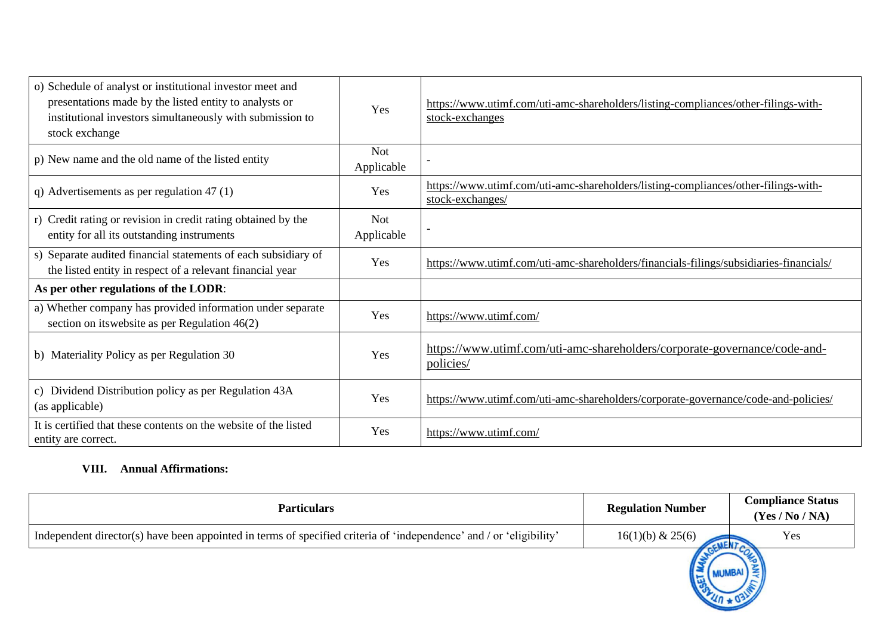| o) Schedule of analyst or institutional investor meet and<br>presentations made by the listed entity to analysts or<br>institutional investors simultaneously with submission to<br>stock exchange | Yes                      | https://www.utimf.com/uti-amc-shareholders/listing-compliances/other-filings-with-<br>stock-exchanges  |
|----------------------------------------------------------------------------------------------------------------------------------------------------------------------------------------------------|--------------------------|--------------------------------------------------------------------------------------------------------|
| p) New name and the old name of the listed entity                                                                                                                                                  | <b>Not</b><br>Applicable |                                                                                                        |
| q) Advertisements as per regulation $47(1)$                                                                                                                                                        | Yes                      | https://www.utimf.com/uti-amc-shareholders/listing-compliances/other-filings-with-<br>stock-exchanges/ |
| r) Credit rating or revision in credit rating obtained by the<br>entity for all its outstanding instruments                                                                                        | <b>Not</b><br>Applicable |                                                                                                        |
| s) Separate audited financial statements of each subsidiary of<br>the listed entity in respect of a relevant financial year                                                                        | Yes                      | https://www.utimf.com/uti-amc-shareholders/financials-filings/subsidiaries-financials/                 |
| As per other regulations of the LODR:                                                                                                                                                              |                          |                                                                                                        |
| a) Whether company has provided information under separate<br>section on its website as per Regulation $46(2)$                                                                                     | Yes                      | https://www.utimf.com/                                                                                 |
| b) Materiality Policy as per Regulation 30                                                                                                                                                         | Yes                      | https://www.utimf.com/uti-amc-shareholders/corporate-governance/code-and-<br>policies/                 |
| c) Dividend Distribution policy as per Regulation 43A<br>(as applicable)                                                                                                                           | Yes                      | https://www.utimf.com/uti-amc-shareholders/corporate-governance/code-and-policies/                     |
| It is certified that these contents on the website of the listed<br>entity are correct.                                                                                                            | Yes                      | https://www.utimf.com/                                                                                 |

## **VIII. Annual Affirmations:**

| <b>Particulars</b>                                                                                                  | <b>Regulation Number</b>   | <b>Compliance Status</b><br>(Yes / No / NA) |
|---------------------------------------------------------------------------------------------------------------------|----------------------------|---------------------------------------------|
| Independent director(s) have been appointed in terms of specified criteria of 'independence' and / or 'eligibility' | 16(1)(b) & 25(6)<br>CMENTA | Yes                                         |
|                                                                                                                     |                            |                                             |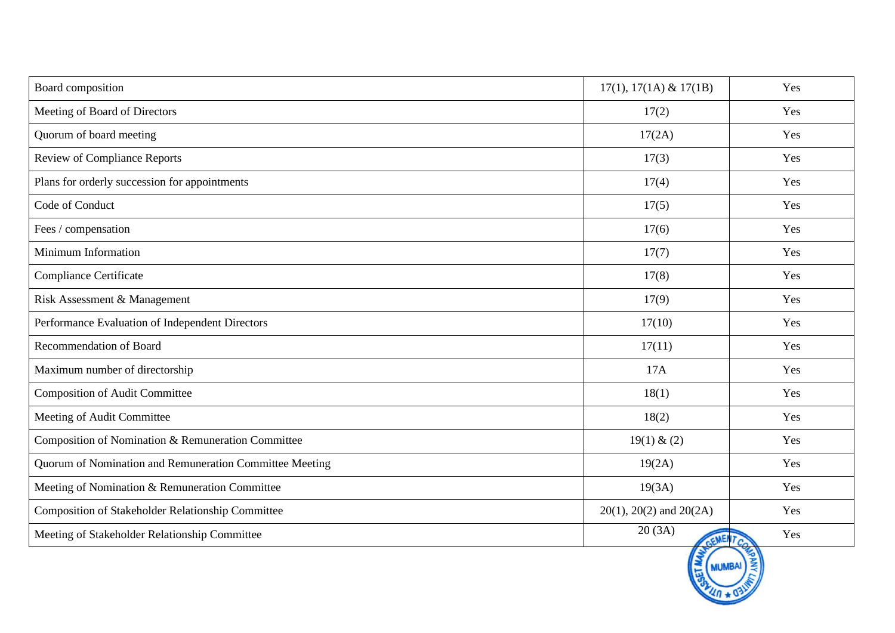| Board composition                                       | $17(1), 17(1A) \& 17(1B)$      | Yes            |
|---------------------------------------------------------|--------------------------------|----------------|
| Meeting of Board of Directors                           | 17(2)                          | Yes            |
| Quorum of board meeting                                 | 17(2A)                         | Yes            |
| <b>Review of Compliance Reports</b>                     | 17(3)                          | Yes            |
| Plans for orderly succession for appointments           | 17(4)                          | Yes            |
| Code of Conduct                                         | 17(5)                          | Yes            |
| Fees / compensation                                     | 17(6)                          | Yes            |
| Minimum Information                                     | 17(7)                          | Yes            |
| Compliance Certificate                                  | 17(8)                          | Yes            |
| Risk Assessment & Management                            | 17(9)                          | Yes            |
| Performance Evaluation of Independent Directors         | 17(10)                         | Yes            |
| <b>Recommendation of Board</b>                          | 17(11)                         | Yes            |
| Maximum number of directorship                          | 17A                            | Yes            |
| <b>Composition of Audit Committee</b>                   | 18(1)                          | Yes            |
| Meeting of Audit Committee                              | 18(2)                          | Yes            |
| Composition of Nomination & Remuneration Committee      | 19(1) & (2)                    | Yes            |
| Quorum of Nomination and Remuneration Committee Meeting | 19(2A)                         | Yes            |
| Meeting of Nomination & Remuneration Committee          | 19(3A)                         | Yes            |
| Composition of Stakeholder Relationship Committee       | $20(1)$ , $20(2)$ and $20(2A)$ | Yes            |
| Meeting of Stakeholder Relationship Committee           | 20(3A)<br>GEMEN.               | Yes<br>$r_{c}$ |

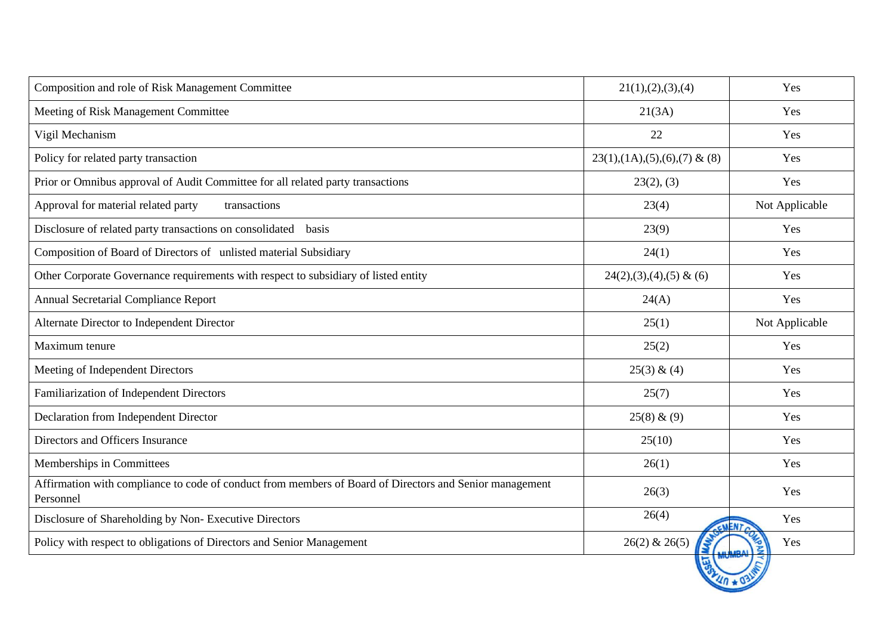| Composition and role of Risk Management Committee                                                                    | 21(1), (2), (3), (4)           | Yes            |
|----------------------------------------------------------------------------------------------------------------------|--------------------------------|----------------|
| Meeting of Risk Management Committee                                                                                 | 21(3A)                         | Yes            |
| Vigil Mechanism                                                                                                      | 22                             | Yes            |
| Policy for related party transaction                                                                                 | $23(1),(1A),(5),(6),(7)$ & (8) | Yes            |
| Prior or Omnibus approval of Audit Committee for all related party transactions                                      | 23(2), (3)                     | Yes            |
| Approval for material related party<br>transactions                                                                  | 23(4)                          | Not Applicable |
| Disclosure of related party transactions on consolidated basis                                                       | 23(9)                          | Yes            |
| Composition of Board of Directors of unlisted material Subsidiary                                                    | 24(1)                          | Yes            |
| Other Corporate Governance requirements with respect to subsidiary of listed entity                                  | $24(2),(3),(4),(5)$ & (6)      | Yes            |
| Annual Secretarial Compliance Report                                                                                 | 24(A)                          | Yes            |
| Alternate Director to Independent Director                                                                           | 25(1)                          | Not Applicable |
| Maximum tenure                                                                                                       | 25(2)                          | Yes            |
| Meeting of Independent Directors                                                                                     | 25(3) & (4)                    | Yes            |
| Familiarization of Independent Directors                                                                             | 25(7)                          | Yes            |
| Declaration from Independent Director                                                                                | 25(8) & (9)                    | Yes            |
| Directors and Officers Insurance                                                                                     | 25(10)                         | Yes            |
| Memberships in Committees                                                                                            | 26(1)                          | Yes            |
| Affirmation with compliance to code of conduct from members of Board of Directors and Senior management<br>Personnel | 26(3)                          | Yes            |
| Disclosure of Shareholding by Non-Executive Directors                                                                | 26(4)                          | Yes            |
| Policy with respect to obligations of Directors and Senior Management                                                | $26(2)$ & $26(5)$              | Yes            |
|                                                                                                                      |                                |                |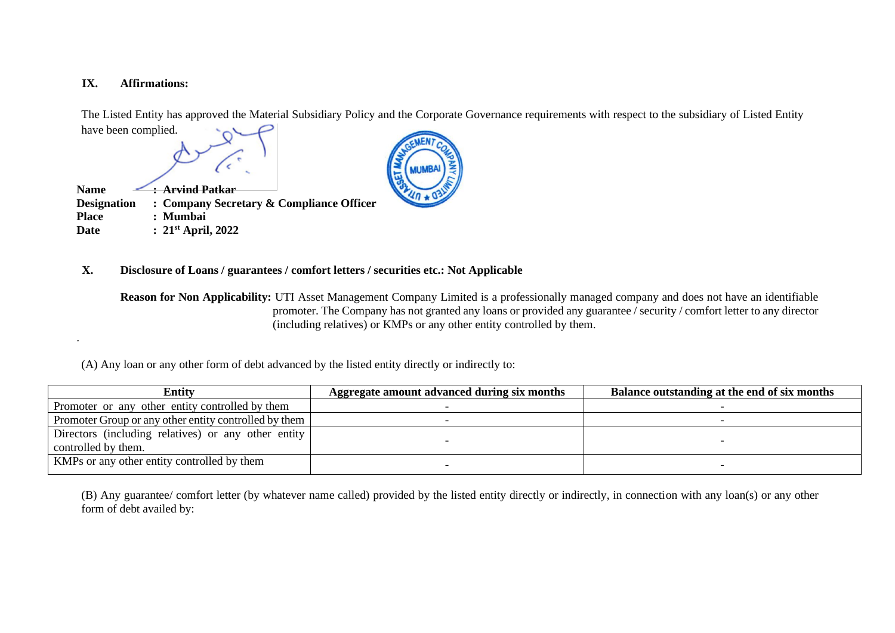### **IX. Affirmations:**

.

The Listed Entity has approved the Material Subsidiary Policy and the Corporate Governance requirements with respect to the subsidiary of Listed Entity





#### **X. Disclosure of Loans / guarantees / comfort letters / securities etc.: Not Applicable**

**Reason for Non Applicability:** UTI Asset Management Company Limited is a professionally managed company and does not have an identifiable promoter. The Company has not granted any loans or provided any guarantee / security / comfort letter to any director (including relatives) or KMPs or any other entity controlled by them.

(A) Any loan or any other form of debt advanced by the listed entity directly or indirectly to:

| Entity                                                | Aggregate amount advanced during six months | Balance outstanding at the end of six months |
|-------------------------------------------------------|---------------------------------------------|----------------------------------------------|
| Promoter or any other entity controlled by them       |                                             |                                              |
| Promoter Group or any other entity controlled by them |                                             |                                              |
| Directors (including relatives) or any other entity   |                                             |                                              |
| controlled by them.                                   |                                             |                                              |
| KMPs or any other entity controlled by them           |                                             |                                              |

(B) Any guarantee/ comfort letter (by whatever name called) provided by the listed entity directly or indirectly, in connection with any loan(s) or any other form of debt availed by: